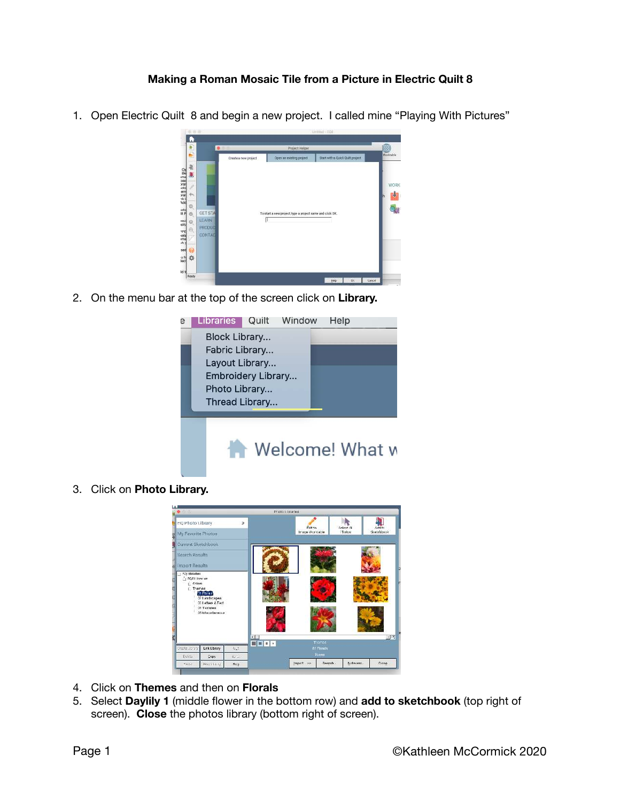## **Making a Roman Mosaic Tile from a Picture in Electric Quilt 8**

1. Open Electric Quilt 8 and begin a new project. I called mine "Playing With Pictures"

| ¥                                                                        | $\bullet$                                   | Project Helper                                            |                          |                                 |                          |
|--------------------------------------------------------------------------|---------------------------------------------|-----------------------------------------------------------|--------------------------|---------------------------------|--------------------------|
| E<br>第<br>동주로 물 음 혹 볼 글 팔 급                                              |                                             | Create a new project                                      | Open an existing project | Startwith a Quick Quilt project | Workfable<br><b>WORK</b> |
| 沿<br>otol<br>It P<br>ö<br>eci<br>$\Theta$<br>$\odot$<br>PE<br>Max<br>X y | <b>GET STA</b><br>LEARN<br>PRODUC<br>CONTAC | To start a new project, type a project name and olick OK. |                          |                                 |                          |
| sed                                                                      |                                             |                                                           |                          |                                 |                          |

2. On the menu bar at the top of the screen click on **Library.**

 $-1000$ 



3. Click on **Photo Library.** 



- 4. Click on **Themes** and then on **Florals**
- 5. Select **Daylily 1** (middle flower in the bottom row) and **add to sketchbook** (top right of screen). **Close** the photos library (bottom right of screen).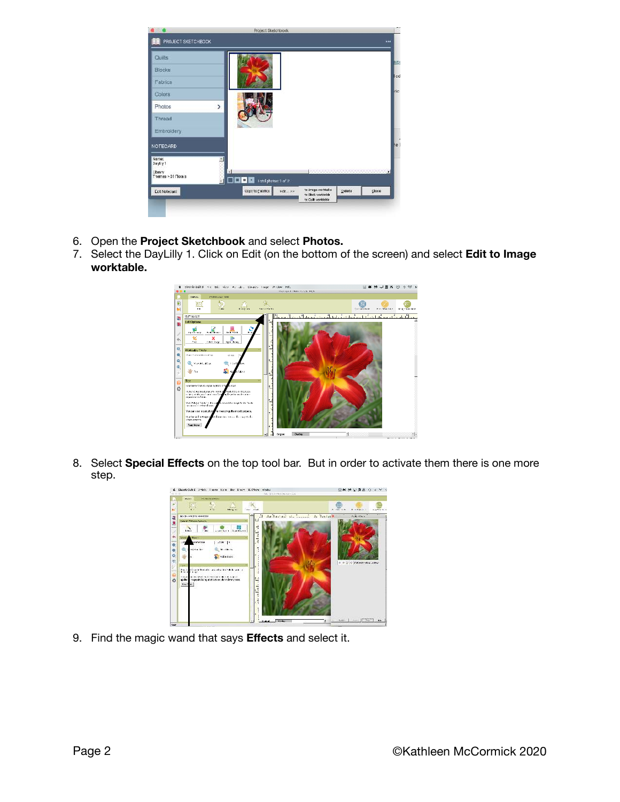

- 6. Open the **Project Sketchbook** and select **Photos.**
- 7. Select the DayLilly 1. Click on Edit (on the bottom of the screen) and select **Edit to Image worktable.**



8. Select **Special Effects** on the top tool bar. But in order to activate them there is one more step.



9. Find the magic wand that says **Effects** and select it.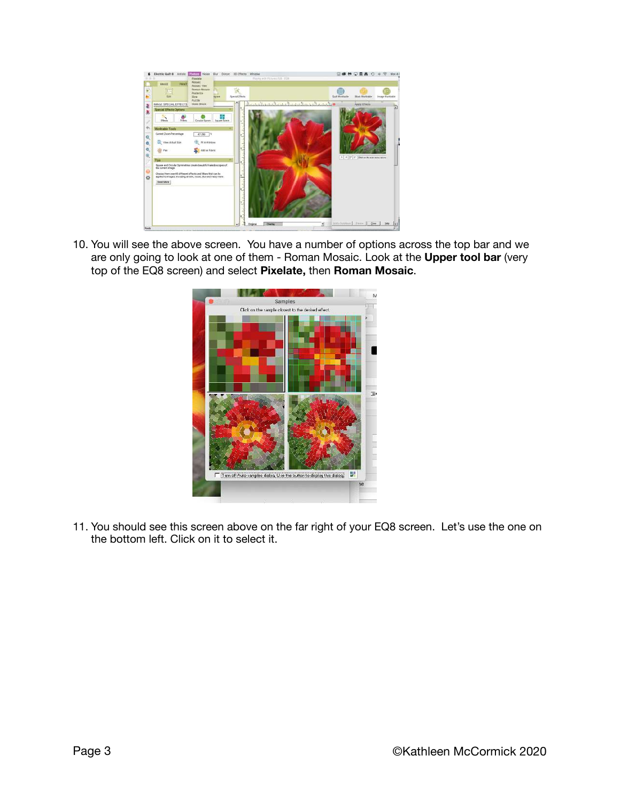

10. You will see the above screen. You have a number of options across the top bar and we are only going to look at one of them - Roman Mosaic. Look at the **Upper tool bar** (very top of the EQ8 screen) and select **Pixelate,** then **Roman Mosaic**.



11. You should see this screen above on the far right of your EQ8 screen. Let's use the one on the bottom left. Click on it to select it.